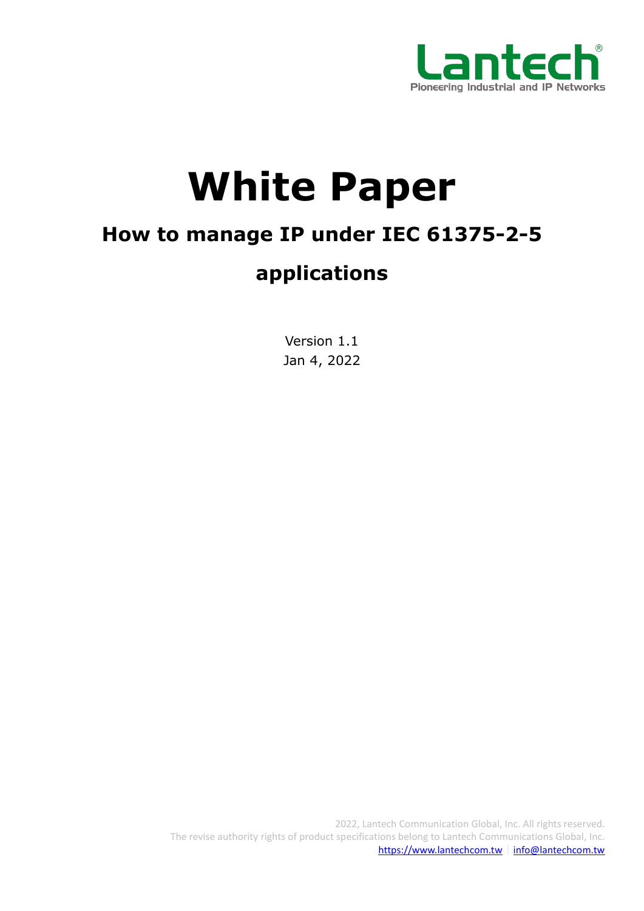

# **White Paper**

# **How to manage IP under IEC 61375-2-5**

# **applications**

Version 1.1 Jan 4, 2022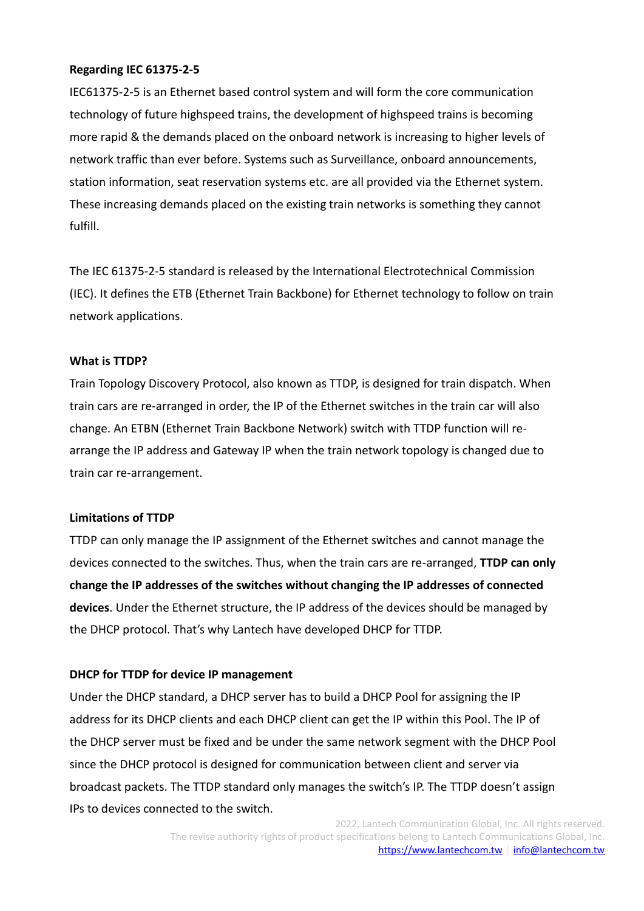#### **Regarding IEC 61375-2-5**

IEC61375-2-5 is an Ethernet based control system and will form the core communication technology of future highspeed trains, the development of highspeed trains is becoming more rapid & the demands placed on the onboard network is increasing to higher levels of network traffic than ever before. Systems such as Surveillance, onboard announcements, station information, seat reservation systems etc. are all provided via the Ethernet system. These increasing demands placed on the existing train networks is something they cannot fulfill.

The IEC 61375-2-5 standard is released by the International Electrotechnical Commission (IEC). It defines the ETB (Ethernet Train Backbone) for Ethernet technology to follow on train network applications.

#### **What is TTDP?**

Train Topology Discovery Protocol, also known as TTDP, is designed for train dispatch. When train cars are re-arranged in order, the IP of the Ethernet switches in the train car will also change. An ETBN (Ethernet Train Backbone Network) switch with TTDP function will rearrange the IP address and Gateway IP when the train network topology is changed due to train car re-arrangement.

#### **Limitations of TTDP**

TTDP can only manage the IP assignment of the Ethernet switches and cannot manage the devices connected to the switches. Thus, when the train cars are re-arranged, **TTDP can only change the IP addresses of the switches without changing the IP addresses of connected devices**. Under the Ethernet structure, the IP address of the devices should be managed by the DHCP protocol. That's why Lantech have developed DHCP for TTDP.

## **DHCP for TTDP for device IP management**

Under the DHCP standard, a DHCP server has to build a DHCP Pool for assigning the IP address for its DHCP clients and each DHCP client can get the IP within this Pool. The IP of the DHCP server must be fixed and be under the same network segment with the DHCP Pool since the DHCP protocol is designed for communication between client and server via broadcast packets. The TTDP standard only manages the switch's IP. The TTDP doesn't assign IPs to devices connected to the switch.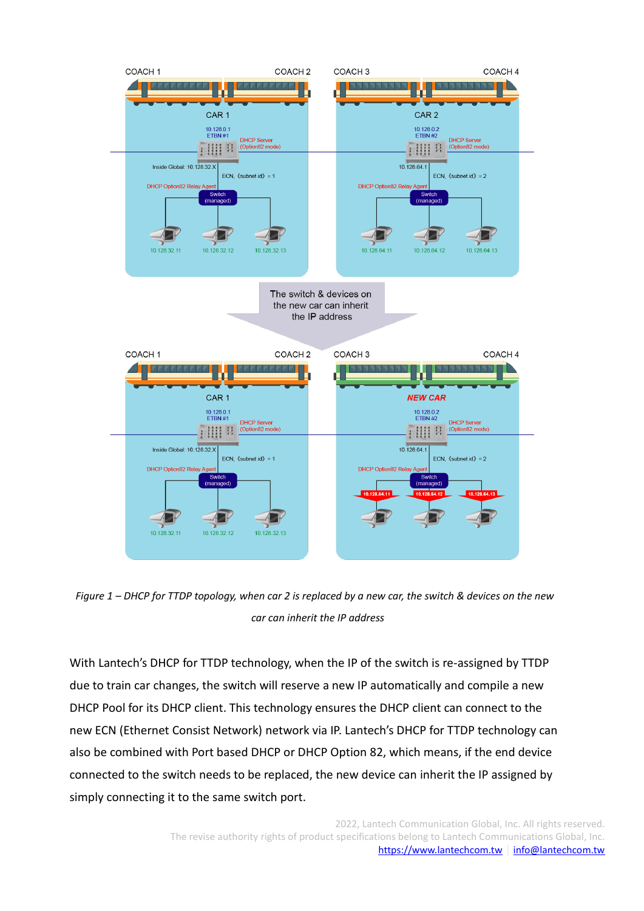

*Figure 1 – DHCP for TTDP topology, when car 2 is replaced by a new car, the switch & devices on the new car can inherit the IP address*

With Lantech's DHCP for TTDP technology, when the IP of the switch is re-assigned by TTDP due to train car changes, the switch will reserve a new IP automatically and compile a new DHCP Pool for its DHCP client. This technology ensures the DHCP client can connect to the new ECN (Ethernet Consist Network) network via IP. Lantech's DHCP for TTDP technology can also be combined with Port based DHCP or DHCP Option 82, which means, if the end device connected to the switch needs to be replaced, the new device can inherit the IP assigned by simply connecting it to the same switch port.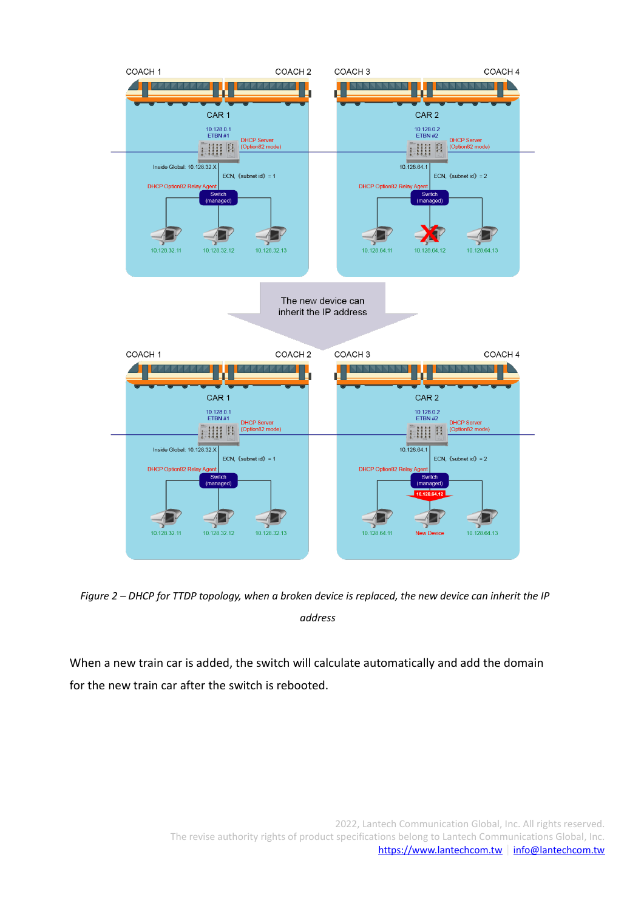

*Figure 2 – DHCP for TTDP topology, when a broken device is replaced, the new device can inherit the IP address*

When a new train car is added, the switch will calculate automatically and add the domain for the new train car after the switch is rebooted.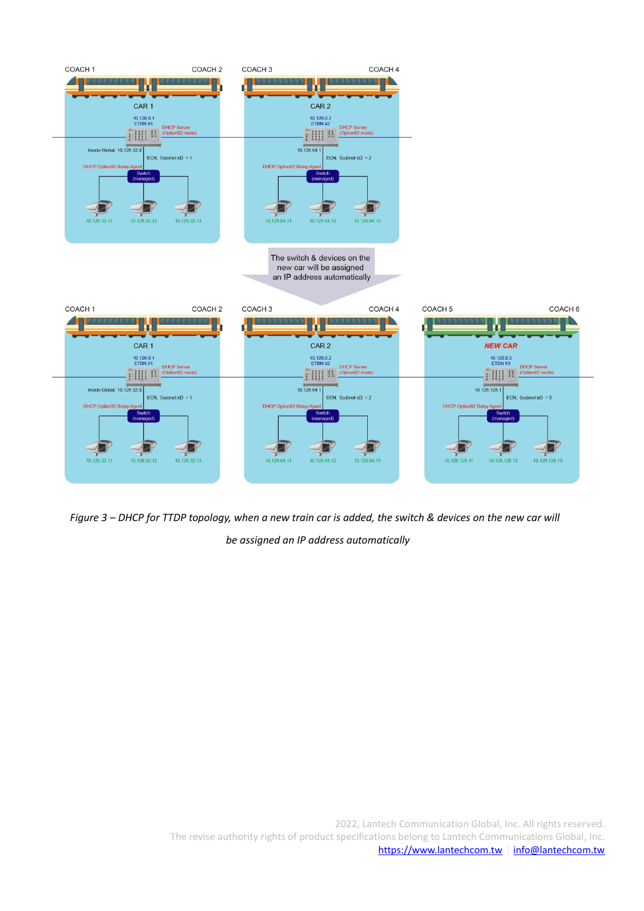

*Figure 3 – DHCP for TTDP topology, when a new train car is added, the switch & devices on the new car will be assigned an IP address automatically*